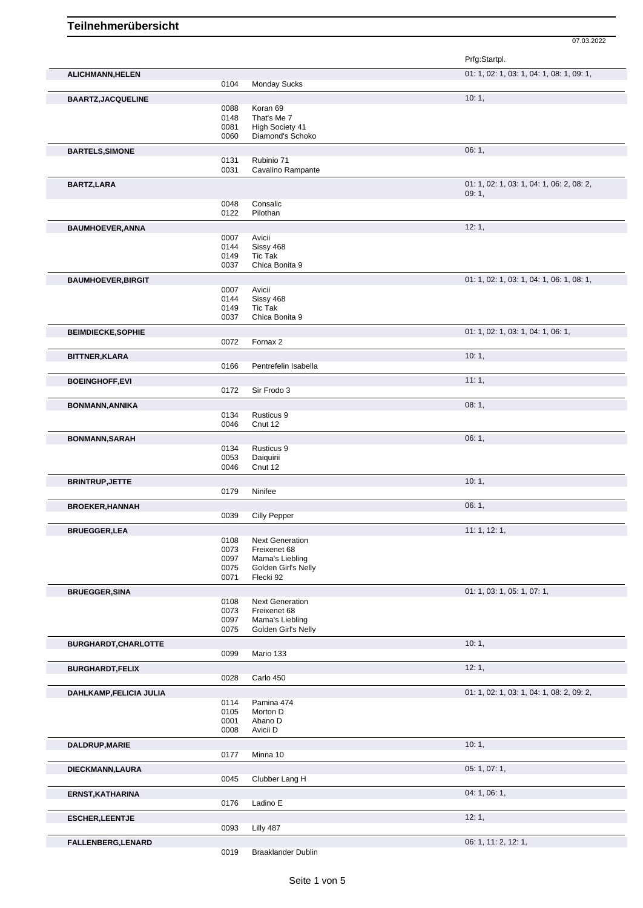07.03.2022

|                           |              |                                 | Prfg:Startpl.                             |
|---------------------------|--------------|---------------------------------|-------------------------------------------|
| ALICHMANN, HELEN          |              |                                 | 01: 1, 02: 1, 03: 1, 04: 1, 08: 1, 09: 1, |
|                           | 0104         | Monday Sucks                    |                                           |
| <b>BAARTZ, JACQUELINE</b> | 0088         | Koran 69                        | 10:1,                                     |
|                           | 0148         | That's Me 7                     |                                           |
|                           | 0081         | High Society 41                 |                                           |
|                           | 0060         | Diamond's Schoko                |                                           |
| <b>BARTELS, SIMONE</b>    |              |                                 | 06:1,                                     |
|                           | 0131         | Rubinio 71                      |                                           |
|                           | 0031         | Cavalino Rampante               |                                           |
| <b>BARTZ,LARA</b>         |              |                                 | 01: 1, 02: 1, 03: 1, 04: 1, 06: 2, 08: 2, |
|                           |              |                                 | 09:1,                                     |
|                           | 0048<br>0122 | Consalic<br>Pilothan            |                                           |
|                           |              |                                 |                                           |
| <b>BAUMHOEVER, ANNA</b>   |              |                                 | 12:1,                                     |
|                           | 0007<br>0144 | Avicii<br>Sissy 468             |                                           |
|                           | 0149         | <b>Tic Tak</b>                  |                                           |
|                           | 0037         | Chica Bonita 9                  |                                           |
| <b>BAUMHOEVER, BIRGIT</b> |              |                                 | 01: 1, 02: 1, 03: 1, 04: 1, 06: 1, 08: 1, |
|                           | 0007         | Avicii                          |                                           |
|                           | 0144         | Sissy 468                       |                                           |
|                           | 0149         | <b>Tic Tak</b>                  |                                           |
|                           | 0037         | Chica Bonita 9                  |                                           |
| <b>BEIMDIECKE,SOPHIE</b>  |              |                                 | 01: 1, 02: 1, 03: 1, 04: 1, 06: 1,        |
|                           | 0072         | Fornax 2                        |                                           |
| <b>BITTNER, KLARA</b>     |              |                                 | 10:1,                                     |
|                           | 0166         | Pentrefelin Isabella            |                                           |
|                           |              |                                 | 11:1,                                     |
| <b>BOEINGHOFF,EVI</b>     | 0172         | Sir Frodo 3                     |                                           |
|                           |              |                                 |                                           |
| <b>BONMANN, ANNIKA</b>    |              |                                 | 08:1,                                     |
|                           | 0134<br>0046 | Rusticus 9<br>Cnut 12           |                                           |
|                           |              |                                 |                                           |
| <b>BONMANN, SARAH</b>     |              |                                 | 06:1,                                     |
|                           | 0134<br>0053 | Rusticus 9<br>Daiquirii         |                                           |
|                           | 0046         | Cnut 12                         |                                           |
|                           |              |                                 | 10:1,                                     |
| <b>BRINTRUP, JETTE</b>    | 0179         | Ninifee                         |                                           |
|                           |              |                                 |                                           |
| <b>BROEKER, HANNAH</b>    | 0039         | <b>Cilly Pepper</b>             | 06:1,                                     |
|                           |              |                                 |                                           |
| <b>BRUEGGER,LEA</b>       |              |                                 | 11: 1, 12: 1,                             |
|                           | 0108         | <b>Next Generation</b>          |                                           |
|                           | 0073<br>0097 | Freixenet 68<br>Mama's Liebling |                                           |
|                           | 0075         | Golden Girl's Nelly             |                                           |
|                           | 0071         | Flecki 92                       |                                           |
| <b>BRUEGGER, SINA</b>     |              |                                 | 01: 1, 03: 1, 05: 1, 07: 1,               |
|                           | 0108         | <b>Next Generation</b>          |                                           |
|                           | 0073         | Freixenet 68                    |                                           |
|                           | 0097         | Mama's Liebling                 |                                           |
|                           | 0075         | Golden Girl's Nelly             |                                           |
| BURGHARDT, CHARLOTTE      |              |                                 | 10:1,                                     |
|                           | 0099         | Mario 133                       |                                           |
| <b>BURGHARDT,FELIX</b>    |              |                                 | 12:1,                                     |
|                           | 0028         | Carlo 450                       |                                           |
|                           |              |                                 | 01: 1, 02: 1, 03: 1, 04: 1, 08: 2, 09: 2, |
| DAHLKAMP, FELICIA JULIA   | 0114         | Pamina 474                      |                                           |
|                           | 0105         | Morton D                        |                                           |
|                           | 0001         | Abano D                         |                                           |
|                           | 0008         | Avicii D                        |                                           |
| DALDRUP, MARIE            |              |                                 | 10:1,                                     |
|                           | 0177         | Minna 10                        |                                           |
| DIECKMANN, LAURA          |              |                                 | 05: 1, 07: 1,                             |
|                           | 0045         | Clubber Lang H                  |                                           |
|                           |              |                                 |                                           |
| ERNST, KATHARINA          | 0176         | Ladino E                        | 04: 1, 06: 1,                             |
|                           |              |                                 |                                           |
| <b>ESCHER, LEENTJE</b>    |              |                                 | 12:1,                                     |
|                           | 0093         | Lilly 487                       |                                           |
| FALLENBERG, LENARD        |              |                                 | 06: 1, 11: 2, 12: 1,                      |
|                           | 0019         | <b>Braaklander Dublin</b>       |                                           |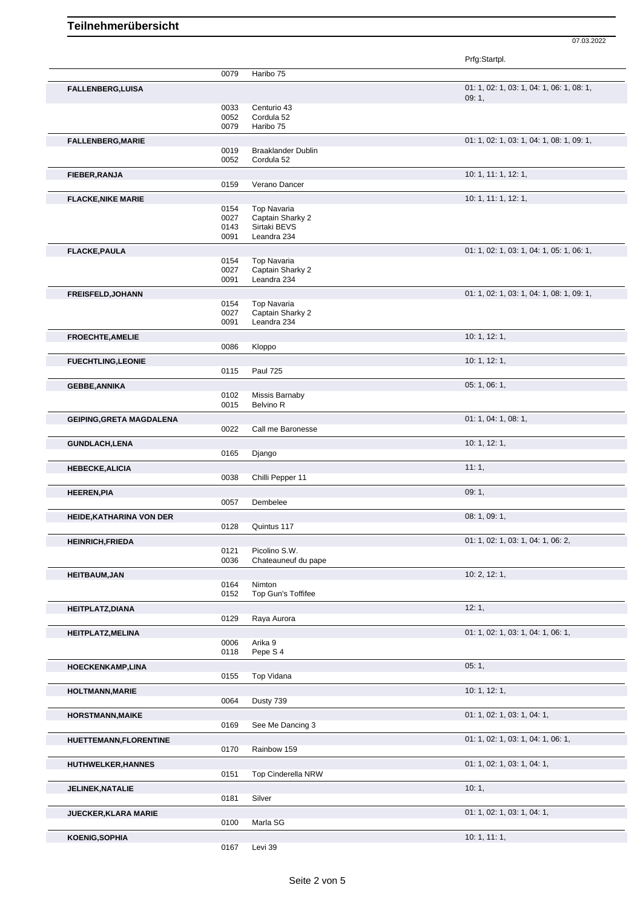Ē

|                                 |                              |                                                                       | 07.03.2022                                         |
|---------------------------------|------------------------------|-----------------------------------------------------------------------|----------------------------------------------------|
|                                 |                              |                                                                       | Prfg:Startpl.                                      |
|                                 | 0079                         | Haribo 75                                                             |                                                    |
| <b>FALLENBERG,LUISA</b>         |                              |                                                                       | 01: 1, 02: 1, 03: 1, 04: 1, 06: 1, 08: 1,<br>09:1, |
|                                 | 0033<br>0052<br>0079         | Centurio 43<br>Cordula 52<br>Haribo 75                                |                                                    |
| <b>FALLENBERG, MARIE</b>        |                              |                                                                       | 01: 1, 02: 1, 03: 1, 04: 1, 08: 1, 09: 1,          |
|                                 | 0019<br>0052                 | <b>Braaklander Dublin</b><br>Cordula 52                               |                                                    |
| FIEBER, RANJA                   |                              |                                                                       | 10: 1, 11: 1, 12: 1,                               |
|                                 | 0159                         | Verano Dancer                                                         |                                                    |
| <b>FLACKE, NIKE MARIE</b>       |                              |                                                                       | 10: 1, 11: 1, 12: 1,                               |
|                                 | 0154<br>0027<br>0143<br>0091 | <b>Top Navaria</b><br>Captain Sharky 2<br>Sirtaki BEVS<br>Leandra 234 |                                                    |
| <b>FLACKE, PAULA</b>            |                              |                                                                       | 01: 1, 02: 1, 03: 1, 04: 1, 05: 1, 06: 1,          |
|                                 | 0154<br>0027<br>0091         | Top Navaria<br>Captain Sharky 2<br>Leandra 234                        |                                                    |
| <b>FREISFELD, JOHANN</b>        |                              |                                                                       | 01: 1, 02: 1, 03: 1, 04: 1, 08: 1, 09: 1,          |
|                                 | 0154<br>0027<br>0091         | Top Navaria<br>Captain Sharky 2<br>Leandra 234                        |                                                    |
| <b>FROECHTE, AMELIE</b>         |                              |                                                                       | 10: 1, 12: 1,                                      |
|                                 | 0086                         | Kloppo                                                                |                                                    |
| <b>FUECHTLING,LEONIE</b>        | 0115                         | <b>Paul 725</b>                                                       | 10: 1, 12: 1,                                      |
| <b>GEBBE, ANNIKA</b>            |                              |                                                                       | 05: 1, 06: 1,                                      |
|                                 | 0102<br>0015                 | Missis Barnaby<br>Belvino R                                           |                                                    |
| <b>GEIPING, GRETA MAGDALENA</b> | 0022                         | Call me Baronesse                                                     | 01: 1, 04: 1, 08: 1,                               |
| <b>GUNDLACH,LENA</b>            |                              |                                                                       | 10: 1, 12: 1,                                      |
|                                 | 0165                         | Django                                                                |                                                    |
| <b>HEBECKE, ALICIA</b>          |                              |                                                                       | 11:1,                                              |
|                                 | 0038                         | Chilli Pepper 11                                                      |                                                    |
| <b>HEEREN, PIA</b>              | 0057                         | Dembelee                                                              | 09:1,                                              |
| HEIDE, KATHARINA VON DER        |                              |                                                                       | 08: 1, 09: 1,                                      |
|                                 | 0128                         | Quintus 117                                                           |                                                    |
|                                 |                              |                                                                       |                                                    |

| יים יש אישי מייחדיות מיידים שום ו |                                   |                                    |
|-----------------------------------|-----------------------------------|------------------------------------|
|                                   | 0128<br>Quintus 117               |                                    |
| <b>HEINRICH, FRIEDA</b>           |                                   | 01: 1, 02: 1, 03: 1, 04: 1, 06: 2, |
|                                   | Picolino S.W.<br>0121             |                                    |
|                                   | 0036<br>Chateauneuf du pape       |                                    |
| <b>HEITBAUM, JAN</b>              |                                   | 10: 2, 12: 1,                      |
|                                   | Nimton<br>0164                    |                                    |
|                                   | 0152<br>Top Gun's Toffifee        |                                    |
| <b>HEITPLATZ, DIANA</b>           |                                   | 12:1                               |
|                                   | Raya Aurora<br>0129               |                                    |
| <b>HEITPLATZ, MELINA</b>          |                                   | 01: 1, 02: 1, 03: 1, 04: 1, 06: 1, |
|                                   | Arika 9<br>0006                   |                                    |
|                                   | Pepe S 4<br>0118                  |                                    |
| <b>HOECKENKAMP,LINA</b>           |                                   | 05:1,                              |
|                                   | Top Vidana<br>0155                |                                    |
| <b>HOLTMANN, MARIE</b>            |                                   | 10: 1, 12: 1,                      |
|                                   | 0064<br>Dusty 739                 |                                    |
| <b>HORSTMANN, MAIKE</b>           |                                   | 01: 1, 02: 1, 03: 1, 04: 1,        |
|                                   | See Me Dancing 3<br>0169          |                                    |
| HUETTEMANN, FLORENTINE            |                                   | 01: 1, 02: 1, 03: 1, 04: 1, 06: 1, |
|                                   | 0170<br>Rainbow 159               |                                    |
| <b>HUTHWELKER, HANNES</b>         |                                   | 01: 1, 02: 1, 03: 1, 04: 1,        |
|                                   | 0151<br><b>Top Cinderella NRW</b> |                                    |
| <b>JELINEK, NATALIE</b>           |                                   | 10:1,                              |
|                                   | Silver<br>0181                    |                                    |
| JUECKER, KLARA MARIE              |                                   | 01: 1, 02: 1, 03: 1, 04: 1,        |
|                                   | Marla SG<br>0100                  |                                    |
| <b>KOENIG, SOPHIA</b>             |                                   | 10: 1, 11: 1,                      |
|                                   | 0167<br>Levi 39                   |                                    |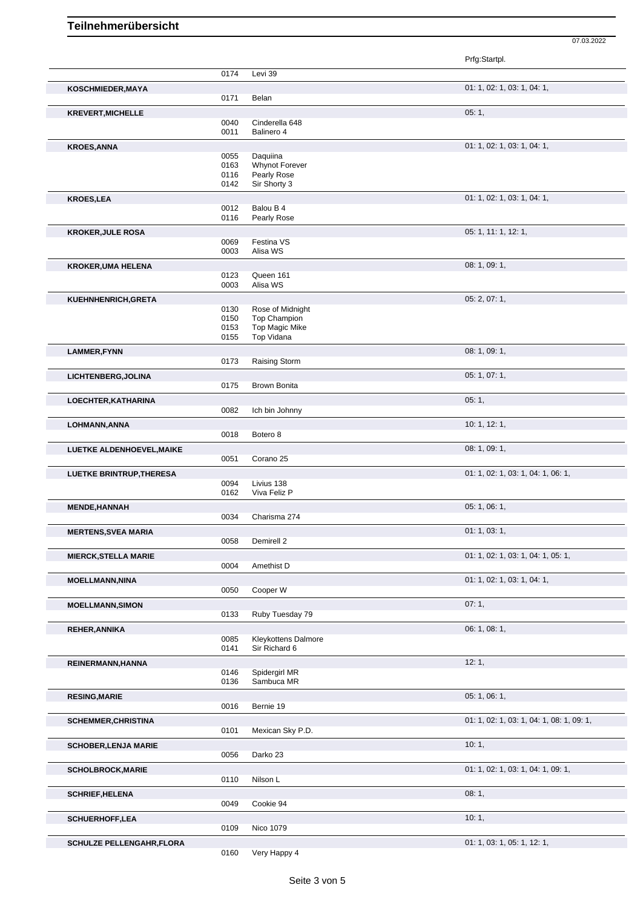## **Teilnehmerübersicht**

07.03.2022

|                                  |              |                                         | Prfg:Startpl.                             |
|----------------------------------|--------------|-----------------------------------------|-------------------------------------------|
|                                  | 0174         | Levi 39                                 |                                           |
| KOSCHMIEDER, MAYA                | 0171         | Belan                                   | 01: 1, 02: 1, 03: 1, 04: 1,               |
|                                  |              |                                         |                                           |
| <b>KREVERT, MICHELLE</b>         | 0040         | Cinderella 648                          | 05:1,                                     |
|                                  | 0011         | Balinero 4                              |                                           |
| <b>KROES, ANNA</b>               |              |                                         | 01: 1, 02: 1, 03: 1, 04: 1,               |
|                                  | 0055         | Daquiina                                |                                           |
|                                  | 0163         | Whynot Forever                          |                                           |
|                                  | 0116<br>0142 | Pearly Rose<br>Sir Shorty 3             |                                           |
|                                  |              |                                         | 01: 1, 02: 1, 03: 1, 04: 1,               |
| <b>KROES,LEA</b>                 | 0012         | Balou B 4                               |                                           |
|                                  | 0116         | Pearly Rose                             |                                           |
| <b>KROKER, JULE ROSA</b>         |              |                                         | 05: 1, 11: 1, 12: 1,                      |
|                                  | 0069         | Festina VS                              |                                           |
|                                  | 0003         | Alisa WS                                |                                           |
| <b>KROKER, UMA HELENA</b>        |              |                                         | 08: 1, 09: 1,                             |
|                                  | 0123         | Queen 161                               |                                           |
|                                  | 0003         | Alisa WS                                |                                           |
| KUEHNHENRICH, GRETA              |              |                                         | 05: 2, 07: 1,                             |
|                                  | 0130<br>0150 | Rose of Midnight<br><b>Top Champion</b> |                                           |
|                                  | 0153         | <b>Top Magic Mike</b>                   |                                           |
|                                  | 0155         | Top Vidana                              |                                           |
| <b>LAMMER, FYNN</b>              |              |                                         | 08: 1, 09: 1,                             |
|                                  | 0173         | Raising Storm                           |                                           |
| LICHTENBERG, JOLINA              |              |                                         | 05: 1, 07: 1,                             |
|                                  | 0175         | Brown Bonita                            |                                           |
| LOECHTER, KATHARINA              |              |                                         | 05:1,                                     |
|                                  | 0082         | Ich bin Johnny                          |                                           |
| LOHMANN, ANNA                    |              |                                         | 10: 1, 12: 1,                             |
|                                  | 0018         | Botero 8                                |                                           |
| LUETKE ALDENHOEVEL, MAIKE        |              |                                         | 08: 1, 09: 1,                             |
|                                  | 0051         | Corano 25                               |                                           |
| <b>LUETKE BRINTRUP, THERESA</b>  |              |                                         | 01: 1, 02: 1, 03: 1, 04: 1, 06: 1,        |
|                                  | 0094         | Livius 138                              |                                           |
|                                  | 0162         | Viva Feliz P                            |                                           |
| <b>MENDE, HANNAH</b>             | 0034         | Charisma 274                            | 05: 1, 06: 1,                             |
|                                  |              |                                         |                                           |
| <b>MERTENS, SVEA MARIA</b>       | 0058         | Demirell 2                              | 01: 1, 03: 1,                             |
|                                  |              |                                         |                                           |
| <b>MIERCK, STELLA MARIE</b>      | 0004         | Amethist D                              | 01: 1, 02: 1, 03: 1, 04: 1, 05: 1,        |
|                                  |              |                                         |                                           |
| <b>MOELLMANN, NINA</b>           | 0050         | Cooper W                                | 01: 1, 02: 1, 03: 1, 04: 1,               |
|                                  |              |                                         |                                           |
| <b>MOELLMANN, SIMON</b>          | 0133         | Ruby Tuesday 79                         | 07:1,                                     |
| <b>REHER, ANNIKA</b>             |              |                                         | 06: 1, 08: 1,                             |
|                                  | 0085         | <b>Kleykottens Dalmore</b>              |                                           |
|                                  | 0141         | Sir Richard 6                           |                                           |
| REINERMANN, HANNA                |              |                                         | 12:1,                                     |
|                                  | 0146         | Spidergirl MR                           |                                           |
|                                  | 0136         | Sambuca MR                              |                                           |
| <b>RESING, MARIE</b>             |              |                                         | 05:1,06:1,                                |
|                                  | 0016         | Bernie 19                               |                                           |
| <b>SCHEMMER, CHRISTINA</b>       |              |                                         | 01: 1, 02: 1, 03: 1, 04: 1, 08: 1, 09: 1, |
|                                  | 0101         | Mexican Sky P.D.                        |                                           |
| <b>SCHOBER, LENJA MARIE</b>      |              |                                         | 10:1,                                     |
|                                  | 0056         | Darko 23                                |                                           |
| <b>SCHOLBROCK, MARIE</b>         |              |                                         | 01: 1, 02: 1, 03: 1, 04: 1, 09: 1,        |
|                                  | 0110         | Nilson L                                |                                           |
| <b>SCHRIEF, HELENA</b>           |              |                                         | 08:1,                                     |
|                                  | 0049         | Cookie 94                               |                                           |
| <b>SCHUERHOFF,LEA</b>            |              |                                         | 10:1,                                     |
|                                  | 0109         | Nico 1079                               |                                           |
| <b>SCHULZE PELLENGAHR, FLORA</b> |              |                                         | 01: 1, 03: 1, 05: 1, 12: 1,               |
|                                  | 0160         | Very Happy 4                            |                                           |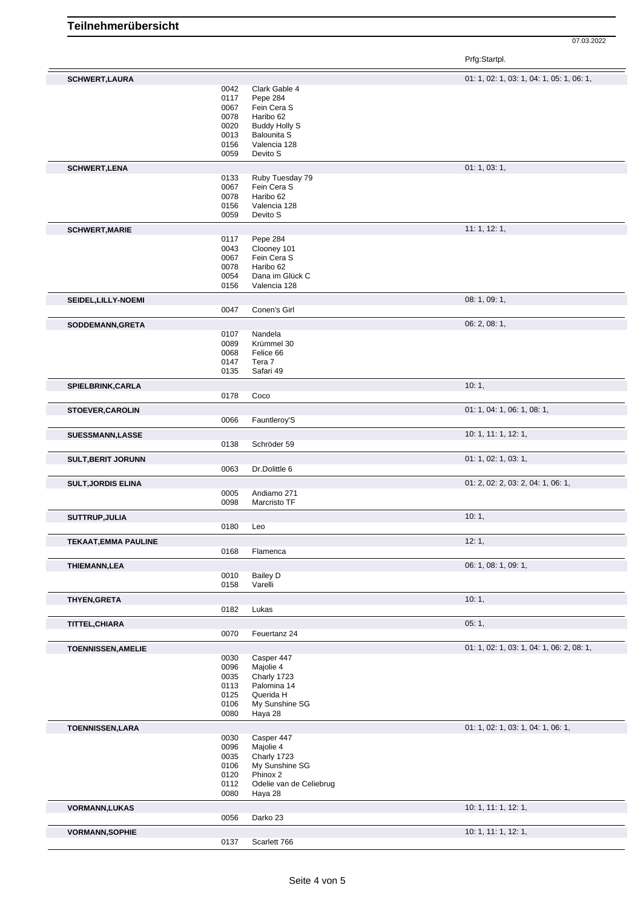07.03.2022

Prfg:Startpl.

| <b>SCHWERT,LAURA</b>        |              |                                     | 01: 1, 02: 1, 03: 1, 04: 1, 05: 1, 06: 1, |
|-----------------------------|--------------|-------------------------------------|-------------------------------------------|
|                             | 0042         | Clark Gable 4                       |                                           |
|                             | 0117         | Pepe 284                            |                                           |
|                             | 0067         | Fein Cera S                         |                                           |
|                             | 0078         | Haribo 62                           |                                           |
|                             | 0020         | <b>Buddy Holly S</b>                |                                           |
|                             | 0013         | <b>Balounita S</b>                  |                                           |
|                             | 0156         | Valencia 128                        |                                           |
|                             | 0059         | Devito S                            |                                           |
|                             |              |                                     | 01: 1, 03: 1,                             |
| <b>SCHWERT,LENA</b>         | 0133         | Ruby Tuesday 79                     |                                           |
|                             | 0067         | Fein Cera S                         |                                           |
|                             | 0078         | Haribo 62                           |                                           |
|                             | 0156         | Valencia 128                        |                                           |
|                             | 0059         | Devito S                            |                                           |
|                             |              |                                     | 11: 1, 12: 1,                             |
| <b>SCHWERT, MARIE</b>       | 0117         | Pepe 284                            |                                           |
|                             | 0043         | Clooney 101                         |                                           |
|                             | 0067         | Fein Cera S                         |                                           |
|                             | 0078         | Haribo 62                           |                                           |
|                             | 0054         | Dana im Glück C                     |                                           |
|                             | 0156         | Valencia 128                        |                                           |
|                             |              |                                     | 08: 1, 09: 1,                             |
| SEIDEL, LILLY-NOEMI         | 0047         | Conen's Girl                        |                                           |
|                             |              |                                     |                                           |
| SODDEMANN, GRETA            |              |                                     | 06: 2, 08: 1,                             |
|                             | 0107         | Nandela                             |                                           |
|                             | 0089         | Krümmel 30                          |                                           |
|                             | 0068         | Felice 66                           |                                           |
|                             | 0147<br>0135 | Tera 7<br>Safari 49                 |                                           |
|                             |              |                                     |                                           |
| SPIELBRINK, CARLA           |              |                                     | 10:1,                                     |
|                             | 0178         | Coco                                |                                           |
| <b>STOEVER, CAROLIN</b>     |              |                                     | 01: 1, 04: 1, 06: 1, 08: 1,               |
|                             | 0066         | Fauntleroy'S                        |                                           |
|                             |              |                                     | 10: 1, 11: 1, 12: 1,                      |
| <b>SUESSMANN,LASSE</b>      | 0138         | Schröder 59                         |                                           |
|                             |              |                                     |                                           |
| <b>SULT, BERIT JORUNN</b>   |              |                                     | 01: 1, 02: 1, 03: 1,                      |
|                             | 0063         | Dr.Dolittle 6                       |                                           |
| <b>SULT, JORDIS ELINA</b>   |              |                                     | 01: 2, 02: 2, 03: 2, 04: 1, 06: 1,        |
|                             | 0005         | Andiamo 271                         |                                           |
|                             | 0098         | Marcristo TF                        |                                           |
| SUTTRUP, JULIA              |              |                                     | 10:1,                                     |
|                             | 0180         | Leo                                 |                                           |
|                             |              |                                     | 12:1,                                     |
| <b>TEKAAT, EMMA PAULINE</b> | 0168         |                                     |                                           |
|                             |              | Flamenca                            |                                           |
| <b>THIEMANN,LEA</b>         |              |                                     | 06: 1, 08: 1, 09: 1,                      |
|                             | 0010         | <b>Bailey D</b>                     |                                           |
|                             | 0158         | Varelli                             |                                           |
| THYEN, GRETA                |              |                                     | 10:1,                                     |
|                             | 0182         | Lukas                               |                                           |
| TITTEL, CHIARA              |              |                                     | 05:1,                                     |
|                             | 0070         | Feuertanz 24                        |                                           |
|                             |              |                                     |                                           |
| <b>TOENNISSEN, AMELIE</b>   |              |                                     | 01: 1, 02: 1, 03: 1, 04: 1, 06: 2, 08: 1, |
|                             | 0030         | Casper 447                          |                                           |
|                             | 0096         | Majolie 4                           |                                           |
|                             | 0035<br>0113 | Charly 1723<br>Palomina 14          |                                           |
|                             | 0125         | Querida H                           |                                           |
|                             | 0106         | My Sunshine SG                      |                                           |
|                             | 0080         | Haya 28                             |                                           |
|                             |              |                                     |                                           |
| <b>TOENNISSEN,LARA</b>      |              |                                     | 01: 1, 02: 1, 03: 1, 04: 1, 06: 1,        |
|                             | 0030         | Casper 447                          |                                           |
|                             | 0096         | Majolie 4<br>Charly 1723            |                                           |
|                             | 0035         | My Sunshine SG                      |                                           |
|                             | 0106         |                                     |                                           |
|                             | 0120         | Phinox 2<br>Odelie van de Celiebrug |                                           |
|                             | 0112<br>0080 | Haya 28                             |                                           |
|                             |              |                                     |                                           |
| <b>VORMANN,LUKAS</b>        |              |                                     | 10: 1, 11: 1, 12: 1,                      |
|                             | 0056         | Darko 23                            |                                           |
| <b>VORMANN, SOPHIE</b>      |              |                                     | 10: 1, 11: 1, 12: 1,                      |
|                             | 0137         | Scarlett 766                        |                                           |
|                             |              |                                     |                                           |